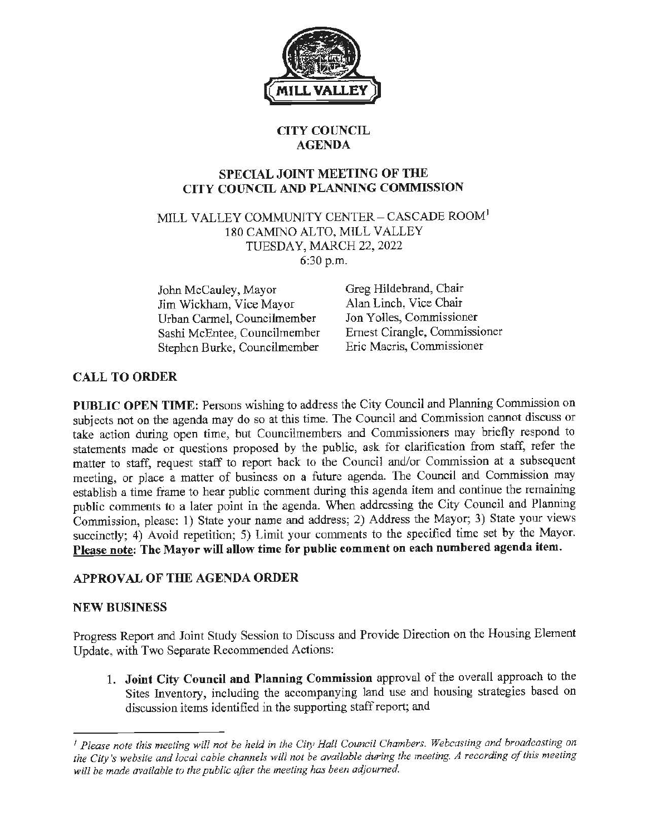

# **CITY COUNCIL AGENDA**

#### **SPECIAL JOINT MEETING OF THE CITY COUNCIL AND PLANNING COMMISSION**

MILL VALLEY COMMUNITY CENTER- CASCADE ROOM<sup>1</sup> 180 CAMINO ALTO, MILL VALLEY TUESDAY, MARCH 22, 2022 6:30 p.m.

John McCauley, Mayor Jim Wickham, Vice Mayor Urban Carmel, Councilmember Sashi McEntee, Councilmember Stephen Burke, Councilmember

Greg Hildebrand, Chair Alan Linch, Vice Chair Jon Yolles, Commissioner Ernest Cirangle, Commissioner Eric Macris, Commissioner

# **CALL TO ORDER**

PUBLIC OPEN TIME: Persons wishing to address the City Council and Planning Commission on subjects not on the agenda may do so at this time. The Council and Commission cannot discuss or take action during open time, but Councilmembers and Commissioners may briefly respond to statements made or questions proposed by the public, ask for clarification from staff, refer the matter to staff, request staff to report back to the Council and/or Commission at a subsequent meeting, or place a matter of business on a future agenda. The Council and Commission may establish a time frame to hear public comment during this agenda item and continue the remaining public comments to a later point in the agenda. When addressing the City Council and Planning Commission, please: 1) State your name and address; 2) Address the Mayor; 3) State your views succinctly; 4) Avoid repetition; 5) Limit your comments to the specified time set by the Mayor. **Please note: The Mayor will allow time for public comment on each numbered agenda item.** 

# **APPROVAL OF THE AGENDA ORDER**

#### **NEW BUSINESS**

Progress Report and Joint Study Session to Discuss and Provide Direction on the Housing Element Update, with Two Separate Recommended Actions:

1. **Joint City Council and Planning Commission** approval of the overall approach to the Sites Inventory, including the accompanying land use and housing strategies based on discussion items identified in the supporting staff report; and

<sup>1</sup> *Please note this meeting will not be held in the City Hall Council Chambers. Webcasting and broadcasting on*  the City's website and local cable channels will not be available during the meeting. A recording of this meeting *will be made available to the public after the meeting has been adjourned.*